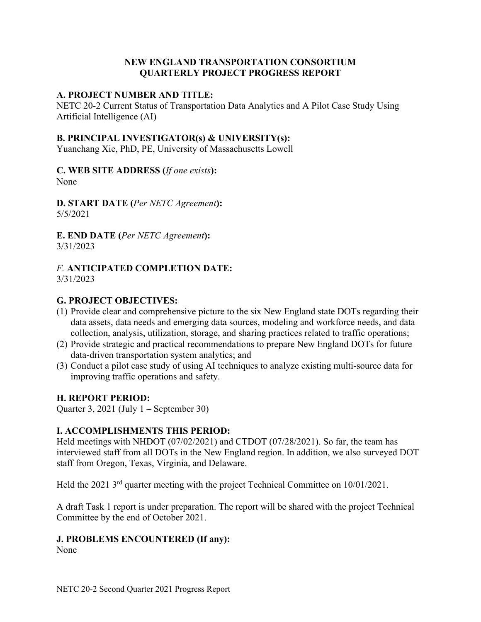#### **NEW ENGLAND TRANSPORTATION CONSORTIUM QUARTERLY PROJECT PROGRESS REPORT**

#### **A. PROJECT NUMBER AND TITLE:**

NETC 20-2 Current Status of Transportation Data Analytics and A Pilot Case Study Using Artificial Intelligence (AI)

#### **B. PRINCIPAL INVESTIGATOR(s) & UNIVERSITY(s):**

Yuanchang Xie, PhD, PE, University of Massachusetts Lowell

#### **C. WEB SITE ADDRESS (***If one exists***):** None

**D. START DATE (***Per NETC Agreement***):** 5/5/2021

**E. END DATE (***Per NETC Agreement***):** 3/31/2023

#### *F.* **ANTICIPATED COMPLETION DATE:** 3/31/2023

#### **G. PROJECT OBJECTIVES:**

- (1) Provide clear and comprehensive picture to the six New England state DOTs regarding their data assets, data needs and emerging data sources, modeling and workforce needs, and data collection, analysis, utilization, storage, and sharing practices related to traffic operations;
- (2) Provide strategic and practical recommendations to prepare New England DOTs for future data-driven transportation system analytics; and
- (3) Conduct a pilot case study of using AI techniques to analyze existing multi-source data for improving traffic operations and safety.

## **H. REPORT PERIOD:**

Quarter 3, 2021 (July 1 – September 30)

## **I. ACCOMPLISHMENTS THIS PERIOD:**

Held meetings with NHDOT (07/02/2021) and CTDOT (07/28/2021). So far, the team has interviewed staff from all DOTs in the New England region. In addition, we also surveyed DOT staff from Oregon, Texas, Virginia, and Delaware.

Held the 2021 3rd quarter meeting with the project Technical Committee on 10/01/2021.

A draft Task 1 report is under preparation. The report will be shared with the project Technical Committee by the end of October 2021.

## **J. PROBLEMS ENCOUNTERED (If any):**

None